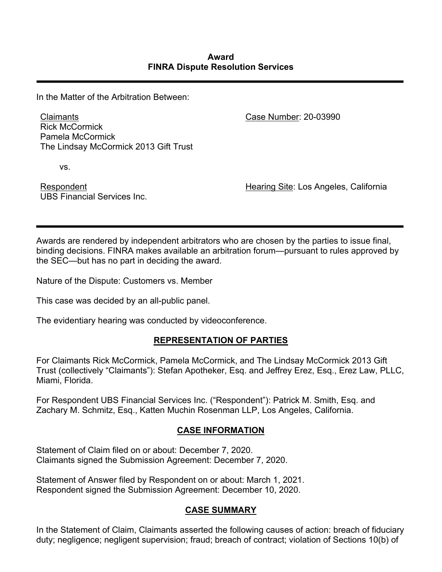In the Matter of the Arbitration Between:

Claimants Rick McCormick Pamela McCormick The Lindsay McCormick 2013 Gift Trust

vs.

Respondent UBS Financial Services Inc. Case Number: 20-03990

Hearing Site: Los Angeles, California

Awards are rendered by independent arbitrators who are chosen by the parties to issue final, binding decisions. FINRA makes available an arbitration forum—pursuant to rules approved by the SEC—but has no part in deciding the award.

Nature of the Dispute: Customers vs. Member

This case was decided by an all-public panel.

The evidentiary hearing was conducted by videoconference.

# **REPRESENTATION OF PARTIES**

For Claimants Rick McCormick, Pamela McCormick, and The Lindsay McCormick 2013 Gift Trust (collectively "Claimants"): Stefan Apotheker, Esq. and Jeffrey Erez, Esq., Erez Law, PLLC, Miami, Florida.

For Respondent UBS Financial Services Inc. ("Respondent"): Patrick M. Smith, Esq. and Zachary M. Schmitz, Esq., Katten Muchin Rosenman LLP, Los Angeles, California.

# **CASE INFORMATION**

Statement of Claim filed on or about: December 7, 2020. Claimants signed the Submission Agreement: December 7, 2020.

Statement of Answer filed by Respondent on or about: March 1, 2021. Respondent signed the Submission Agreement: December 10, 2020.

# **CASE SUMMARY**

In the Statement of Claim, Claimants asserted the following causes of action: breach of fiduciary duty; negligence; negligent supervision; fraud; breach of contract; violation of Sections 10(b) of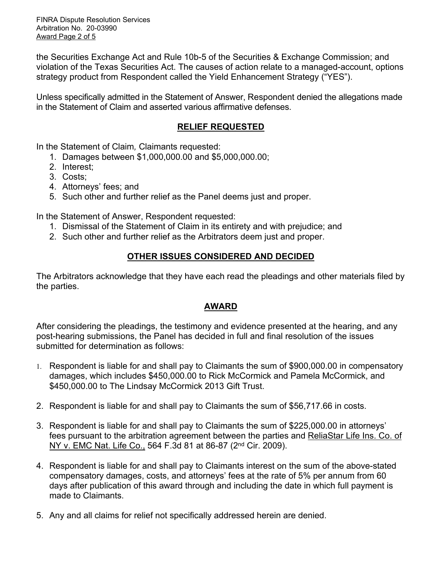FINRA Dispute Resolution Services Arbitration No. 20-03990 Award Page 2 of 5

the Securities Exchange Act and Rule 10b-5 of the Securities & Exchange Commission; and violation of the Texas Securities Act. The causes of action relate to a managed-account, options strategy product from Respondent called the Yield Enhancement Strategy ("YES").

Unless specifically admitted in the Statement of Answer, Respondent denied the allegations made in the Statement of Claim and asserted various affirmative defenses.

# **RELIEF REQUESTED**

In the Statement of Claim*,* Claimants requested:

- 1. Damages between \$1,000,000.00 and \$5,000,000.00;
- 2. Interest;
- 3. Costs;
- 4. Attorneys' fees; and
- 5. Such other and further relief as the Panel deems just and proper.

In the Statement of Answer, Respondent requested:

- 1. Dismissal of the Statement of Claim in its entirety and with prejudice; and
- 2. Such other and further relief as the Arbitrators deem just and proper.

# **OTHER ISSUES CONSIDERED AND DECIDED**

The Arbitrators acknowledge that they have each read the pleadings and other materials filed by the parties.

# **AWARD**

After considering the pleadings, the testimony and evidence presented at the hearing, and any post-hearing submissions, the Panel has decided in full and final resolution of the issues submitted for determination as follows:

- 1. Respondent is liable for and shall pay to Claimants the sum of \$900,000.00 in compensatory damages, which includes \$450,000.00 to Rick McCormick and Pamela McCormick, and \$450,000.00 to The Lindsay McCormick 2013 Gift Trust.
- 2. Respondent is liable for and shall pay to Claimants the sum of \$56,717.66 in costs.
- 3. Respondent is liable for and shall pay to Claimants the sum of \$225,000.00 in attorneys' fees pursuant to the arbitration agreement between the parties and ReliaStar Life Ins. Co. of NY v. EMC Nat. Life Co., 564 F.3d 81 at 86-87 (2nd Cir. 2009).
- 4. Respondent is liable for and shall pay to Claimants interest on the sum of the above-stated compensatory damages, costs, and attorneys' fees at the rate of 5% per annum from 60 days after publication of this award through and including the date in which full payment is made to Claimants.
- 5. Any and all claims for relief not specifically addressed herein are denied.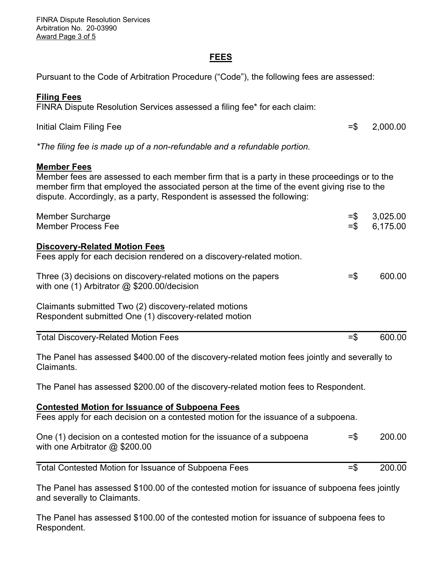FINRA Dispute Resolution Services Arbitration No. 20-03990 Award Page 3 of 5

#### **FEES**

Pursuant to the Code of Arbitration Procedure ("Code"), the following fees are assessed:

### **Filing Fees**

FINRA Dispute Resolution Services assessed a filing fee\* for each claim:

Initial Claim Filing Fee  $=$  \$ 2,000.00

*\*The filing fee is made up of a non-refundable and a refundable portion.*

#### **Member Fees**

Member fees are assessed to each member firm that is a party in these proceedings or to the member firm that employed the associated person at the time of the event giving rise to the dispute. Accordingly, as a party, Respondent is assessed the following:

| <b>Member Surcharge</b><br><b>Member Process Fee</b>                                                                                        | $=$ \$<br>$=$ \$ | 3,025.00<br>6,175.00 |
|---------------------------------------------------------------------------------------------------------------------------------------------|------------------|----------------------|
| <b>Discovery-Related Motion Fees</b><br>Fees apply for each decision rendered on a discovery-related motion.                                |                  |                      |
| Three (3) decisions on discovery-related motions on the papers<br>with one $(1)$ Arbitrator $@$ \$200.00/decision                           | $=$ \$           | 600.00               |
| Claimants submitted Two (2) discovery-related motions<br>Respondent submitted One (1) discovery-related motion                              |                  |                      |
| <b>Total Discovery-Related Motion Fees</b>                                                                                                  | $=$ \$           | 600.00               |
| The Panel has assessed \$400.00 of the discovery-related motion fees jointly and severally to<br>Claimants.                                 |                  |                      |
| The Panel has assessed \$200.00 of the discovery-related motion fees to Respondent.                                                         |                  |                      |
| <b>Contested Motion for Issuance of Subpoena Fees</b><br>Fees apply for each decision on a contested motion for the issuance of a subpoena. |                  |                      |
| One (1) decision on a contested motion for the issuance of a subpoena<br>with one Arbitrator @ \$200.00                                     | $=$ \$           | 200.00               |
| Total Contested Motion for Issuance of Subpoena Fees                                                                                        | $=$ \$           | 200.00               |
| The Panel has assessed \$100.00 of the contested motion for issuance of subpoena fees jointly                                               |                  |                      |

and severally to Claimants.

The Panel has assessed \$100.00 of the contested motion for issuance of subpoena fees to Respondent.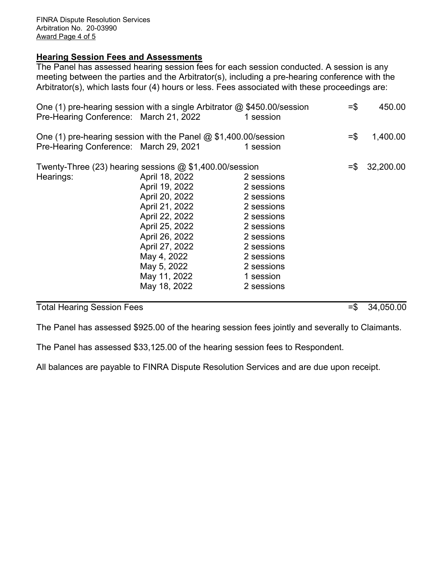## **Hearing Session Fees and Assessments**

The Panel has assessed hearing session fees for each session conducted. A session is any meeting between the parties and the Arbitrator(s), including a pre-hearing conference with the Arbitrator(s), which lasts four (4) hours or less. Fees associated with these proceedings are:

| One (1) pre-hearing session with a single Arbitrator @ \$450.00/session<br>Pre-Hearing Conference: March 21, 2022 |                                                                                                                                                                                                                                                                       | 1 session                                                                                                                                                           | $=$ \$            | 450.00    |
|-------------------------------------------------------------------------------------------------------------------|-----------------------------------------------------------------------------------------------------------------------------------------------------------------------------------------------------------------------------------------------------------------------|---------------------------------------------------------------------------------------------------------------------------------------------------------------------|-------------------|-----------|
| One (1) pre-hearing session with the Panel @ \$1,400.00/session<br>Pre-Hearing Conference: March 29, 2021         |                                                                                                                                                                                                                                                                       | 1 session                                                                                                                                                           | $=$ $\frac{2}{3}$ | 1,400.00  |
| Hearings:                                                                                                         | Twenty-Three (23) hearing sessions @ \$1,400.00/session<br>April 18, 2022<br>April 19, 2022<br>April 20, 2022<br>April 21, 2022<br>April 22, 2022<br>April 25, 2022<br>April 26, 2022<br>April 27, 2022<br>May 4, 2022<br>May 5, 2022<br>May 11, 2022<br>May 18, 2022 | 2 sessions<br>2 sessions<br>2 sessions<br>2 sessions<br>2 sessions<br>2 sessions<br>2 sessions<br>2 sessions<br>2 sessions<br>2 sessions<br>1 session<br>2 sessions | $=$ $\mathbb{S}$  | 32,200.00 |

Total Hearing Session Fees =  $\frac{34,050.00}{ }$ 

The Panel has assessed \$925.00 of the hearing session fees jointly and severally to Claimants.

The Panel has assessed \$33,125.00 of the hearing session fees to Respondent.

All balances are payable to FINRA Dispute Resolution Services and are due upon receipt.